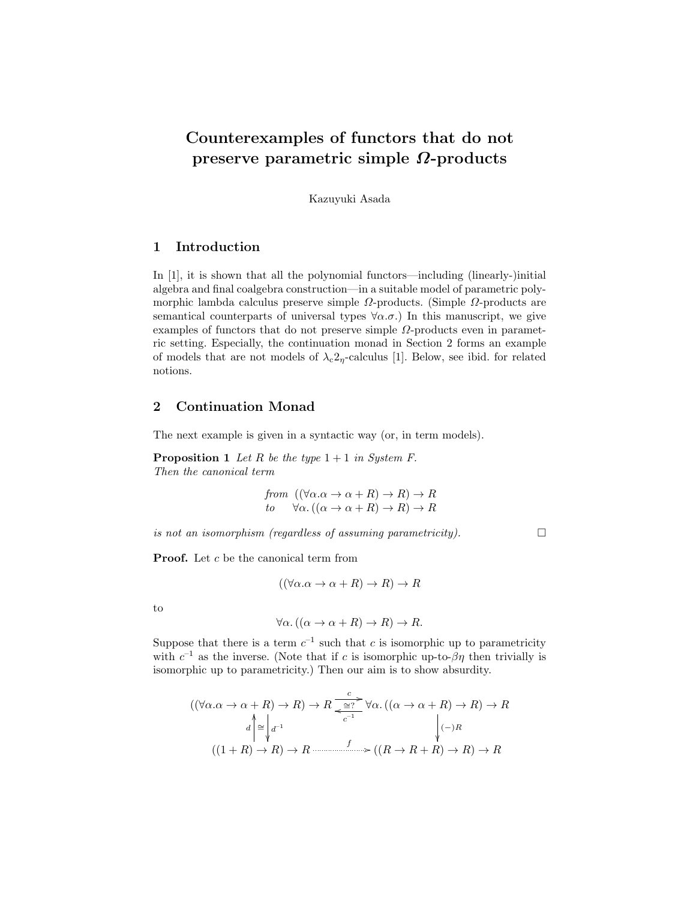# Counterexamples of functors that do not preserve parametric simple Ω-products

Kazuyuki Asada

## 1 Introduction

In [1], it is shown that all the polynomial functors—including (linearly-)initial algebra and final coalgebra construction—in a suitable model of parametric polymorphic lambda calculus preserve simple  $\Omega$ -products. (Simple  $\Omega$ -products are semantical counterparts of universal types  $\forall \alpha.\sigma$ .) In this manuscript, we give examples of functors that do not preserve simple  $\Omega$ -products even in parametric setting. Especially, the continuation monad in Section 2 forms an example of models that are not models of  $\lambda_c 2_\eta$ -calculus [1]. Below, see ibid. for related notions.

# 2 Continuation Monad

The next example is given in a syntactic way (or, in term models).

**Proposition 1** Let R be the type  $1 + 1$  in System F. Then the canonical term

from 
$$
((\forall \alpha . \alpha \rightarrow \alpha + R) \rightarrow R) \rightarrow R
$$
  
to  $\forall \alpha . ((\alpha \rightarrow \alpha + R) \rightarrow R) \rightarrow R$ 

is not an isomorphism (regardless of assuming parametricity).  $\Box$ 

**Proof.** Let  $c$  be the canonical term from

$$
((\forall \alpha \ldots \alpha + R) \to R) \to R
$$

to

$$
\forall \alpha. ((\alpha \to \alpha + R) \to R) \to R.
$$

Suppose that there is a term  $c^{-1}$  such that c is isomorphic up to parametricity with  $c^{-1}$  as the inverse. (Note that if c is isomorphic up-to- $\beta\eta$  then trivially is isomorphic up to parametricity.) Then our aim is to show absurdity.

$$
((\forall \alpha.\alpha \to \alpha + R) \to R) \to R \xrightarrow{c} \forall \alpha. ((\alpha \to \alpha + R) \to R) \to R
$$
  

$$
d \uparrow \cong \downarrow d^{-1} \qquad \qquad \downarrow (-)R
$$
  

$$
((1 + R) \to R) \to R \xrightarrow{f} ((R \to R + R) \to R) \to R
$$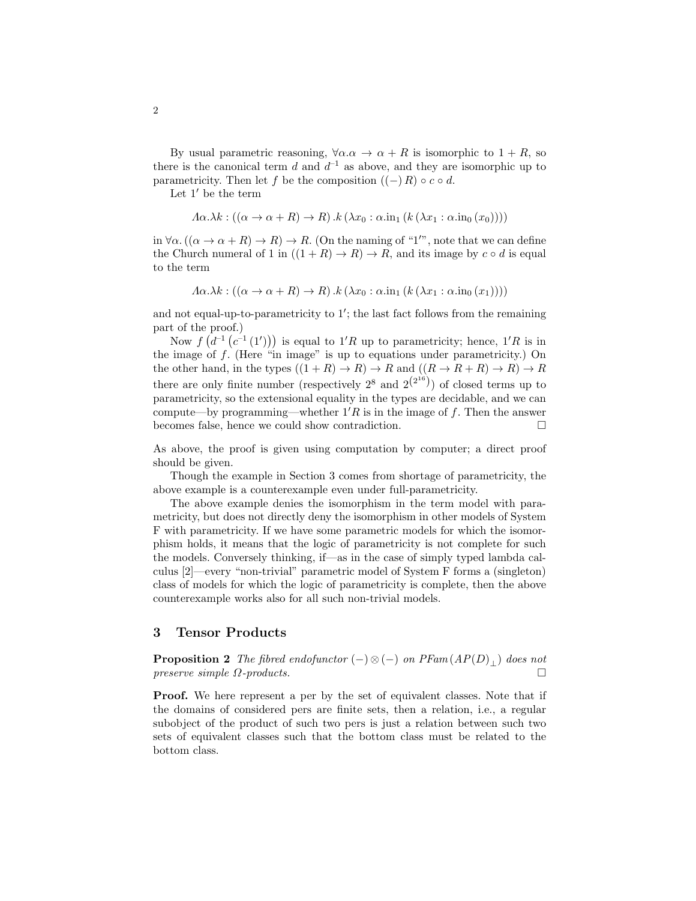By usual parametric reasoning,  $\forall \alpha \cdot \alpha \rightarrow \alpha + R$  is isomorphic to  $1 + R$ , so there is the canonical term  $d$  and  $d^{-1}$  as above, and they are isomorphic up to parametricity. Then let f be the composition  $((-) R) \circ c \circ d$ .

Let  $1'$  be the term

$$
\Lambda \alpha. \lambda k : ((\alpha \to \alpha + R) \to R) \cdot k (\lambda x_0 : \alpha \cdot \text{in}_1 (k (\lambda x_1 : \alpha \cdot \text{in}_0 (x_0))))
$$

in  $\forall \alpha \, ((\alpha \to \alpha + R) \to R) \to R$ . (On the naming of "1", note that we can define the Church numeral of 1 in  $((1 + R) \rightarrow R) \rightarrow R$ , and its image by  $c \circ d$  is equal to the term

$$
\Lambda \alpha. \lambda k : ((\alpha \to \alpha + R) \to R) . k (\lambda x_0 : \alpha . \text{in}_1 (k (\lambda x_1 : \alpha . \text{in}_0 (x_1))))
$$

and not equal-up-to-parametricity to  $1'$ ; the last fact follows from the remaining part of the proof.)

Now  $f(d^{-1}(c^{-1}(1')))$  is equal to 1'R up to parametricity; hence, 1'R is in the image of  $f$ . (Here "in image" is up to equations under parametricity.) On the other hand, in the types  $((1 + R) \rightarrow R) \rightarrow R$  and  $((R \rightarrow R + R) \rightarrow R) \rightarrow R$ there are only finite number (respectively  $2^8$  and  $2^{2^{16}}$ ) of closed terms up to parametricity, so the extensional equality in the types are decidable, and we can compute—by programming—whether  $1'R$  is in the image of f. Then the answer becomes false, hence we could show contradiction.

As above, the proof is given using computation by computer; a direct proof should be given.

Though the example in Section 3 comes from shortage of parametricity, the above example is a counterexample even under full-parametricity.

The above example denies the isomorphism in the term model with parametricity, but does not directly deny the isomorphism in other models of System F with parametricity. If we have some parametric models for which the isomorphism holds, it means that the logic of parametricity is not complete for such the models. Conversely thinking, if—as in the case of simply typed lambda calculus [2]—every "non-trivial" parametric model of System F forms a (singleton) class of models for which the logic of parametricity is complete, then the above counterexample works also for all such non-trivial models.

### 3 Tensor Products

**Proposition 2** The fibred endofunctor  $(-)\otimes (-)$  on PFam  $(AP(D)_+)$  does not preserve simple  $\Omega$ -products.

**Proof.** We here represent a per by the set of equivalent classes. Note that if the domains of considered pers are finite sets, then a relation, i.e., a regular subobject of the product of such two pers is just a relation between such two sets of equivalent classes such that the bottom class must be related to the bottom class.